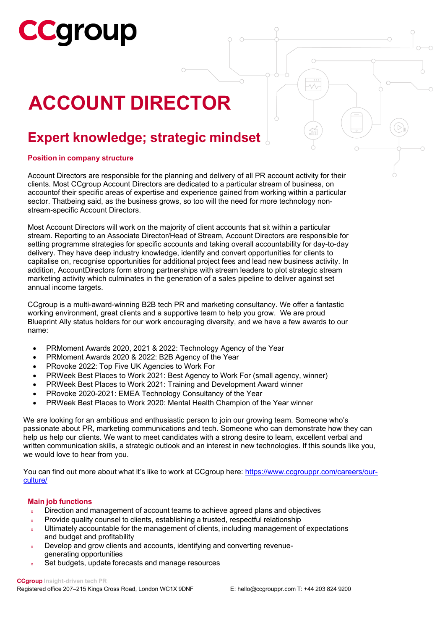# **Cgroup**

### **ACCOUNT DIRECTOR**

### **Expert knowledge; strategic mindset**

### **Position in company structure**

Account Directors are responsible for the planning and delivery of all PR account activity for their clients. Most CCgroup Account Directors are dedicated to a particular stream of business, on accountof their specific areas of expertise and experience gained from working within a particular sector. Thatbeing said, as the business grows, so too will the need for more technology nonstream-specific Account Directors.

Most Account Directors will work on the majority of client accounts that sit within a particular stream. Reporting to an Associate Director/Head of Stream, Account Directors are responsible for setting programme strategies for specific accounts and taking overall accountability for day-to-day delivery. They have deep industry knowledge, identify and convert opportunities for clients to capitalise on, recognise opportunities for additional project fees and lead new business activity. In addition, AccountDirectors form strong partnerships with stream leaders to plot strategic stream marketing activity which culminates in the generation of a sales pipeline to deliver against set annual income targets.

CCgroup is a multi-award-winning B2B tech PR and marketing consultancy. We offer a fantastic working environment, great clients and a supportive team to help you grow. We are proud Blueprint Ally status holders for our work encouraging diversity, and we have a few awards to our name:

- PRMoment Awards 2020, 2021 & 2022: Technology Agency of the Year
- PRMoment Awards 2020 & 2022: B2B Agency of the Year
- PRovoke 2022: Top Five UK Agencies to Work For
- PRWeek Best Places to Work 2021: Best Agency to Work For (small agency, winner)
- PRWeek Best Places to Work 2021: Training and Development Award winner
- PRovoke 2020-2021: EMEA Technology Consultancy of the Year
- PRWeek Best Places to Work 2020: Mental Health Champion of the Year winner

We are looking for an ambitious and enthusiastic person to join our growing team. Someone who's passionate about PR, marketing communications and tech. Someone who can demonstrate how they can help us help our clients. We want to meet candidates with a strong desire to learn, excellent verbal and written communication skills, a strategic outlook and an interest in new technologies. If this sounds like you, we would love to hear from you.

You can find out more about what it's like to work at CCgroup here: [https://www.ccgrouppr.com/careers/our](https://www.ccgrouppr.com/careers/our-culture/)[culture/](https://www.ccgrouppr.com/careers/our-culture/)

### **Main job functions**

- o Direction and management of account teams to achieve agreed plans and objectives
- o Provide quality counsel to clients, establishing a trusted, respectful relationship
- o Ultimately accountable for the management of clients, including management of expectations and budget and profitability
- o Develop and grow clients and accounts, identifying and converting revenuegenerating opportunities
- o Set budgets, update forecasts and manage resources

**CCgroup Insight-driven tech PR**

Registered office 207−215 Kings Cross Road, London WC1X 9DNF E: [hello@ccgrouppr.com](mailto:hello@ccgrouppr.com) T: +44 203 824 9200

 $\bigcap$ 

 $\overline{\mathcal{N}}$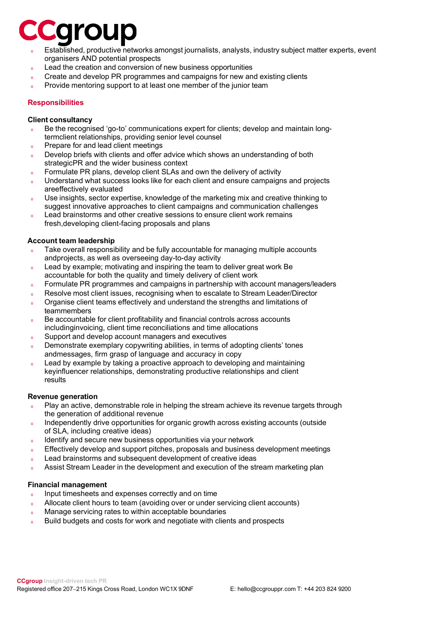### Caroup

- Established, productive networks amongst journalists, analysts, industry subject matter experts, event organisers AND potential prospects
- <sup>o</sup> Lead the creation and conversion of new business opportunities
- Create and develop PR programmes and campaigns for new and existing clients
- o Provide mentoring support to at least one member of the junior team

### **Responsibilities**

#### **Client consultancy**

- o Be the recognised 'go-to' communications expert for clients; develop and maintain longtermclient relationships, providing senior level counsel
- o Prepare for and lead client meetings
- o Develop briefs with clients and offer advice which shows an understanding of both strategicPR and the wider business context
- <sup>o</sup> Formulate PR plans, develop client SLAs and own the delivery of activity
- o Understand what success looks like for each client and ensure campaigns and projects areeffectively evaluated
- o Use insights, sector expertise, knowledge of the marketing mix and creative thinking to suggest innovative approaches to client campaigns and communication challenges
- o Lead brainstorms and other creative sessions to ensure client work remains fresh,developing client-facing proposals and plans

### **Account team leadership**

- Take overall responsibility and be fully accountable for managing multiple accounts andprojects, as well as overseeing day-to-day activity
- <sup>o</sup> Lead by example; motivating and inspiring the team to deliver great work Be accountable for both the quality and timely delivery of client work
- <sup>o</sup> Formulate PR programmes and campaigns in partnership with account managers/leaders
- <sup>o</sup> Resolve most client issues, recognising when to escalate to Stream Leader/Director
- o Organise client teams effectively and understand the strengths and limitations of teammembers
- o Be accountable for client profitability and financial controls across accounts includinginvoicing, client time reconciliations and time allocations
- <sup>o</sup> Support and develop account managers and executives
- <sup>o</sup> Demonstrate exemplary copywriting abilities, in terms of adopting clients' tones andmessages, firm grasp of language and accuracy in copy
- <sup>o</sup> Lead by example by taking a proactive approach to developing and maintaining keyinfluencer relationships, demonstrating productive relationships and client results

### **Revenue generation**

- Play an active, demonstrable role in helping the stream achieve its revenue targets through the generation of additional revenue
- o Independently drive opportunities for organic growth across existing accounts (outside of SLA, including creative ideas)
- <sup>o</sup> Identify and secure new business opportunities via your network
- o Effectively develop and support pitches, proposals and business development meetings
- <sup>o</sup> Lead brainstorms and subsequent development of creative ideas
- Assist Stream Leader in the development and execution of the stream marketing plan

### **Financial management**

- o Input timesheets and expenses correctly and on time
- <sup>o</sup> Allocate client hours to team (avoiding over or under servicing client accounts)
- <sup>o</sup> Manage servicing rates to within acceptable boundaries
- <sup>o</sup> Build budgets and costs for work and negotiate with clients and prospects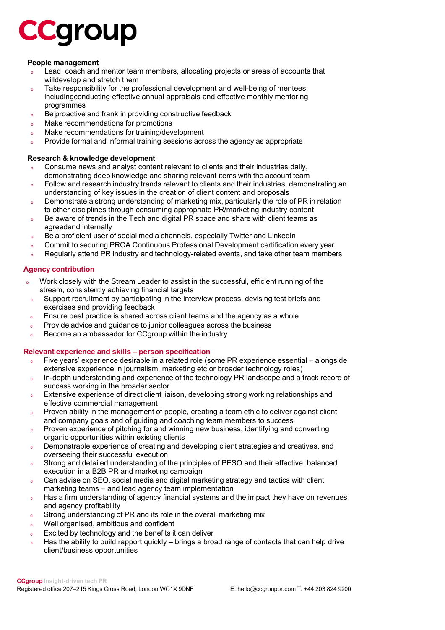## **CCGroup**

### **People management**

- Lead, coach and mentor team members, allocating projects or areas of accounts that willdevelop and stretch them
- o Take responsibility for the professional development and well-being of mentees, includingconducting effective annual appraisals and effective monthly mentoring programmes
- <sup>o</sup> Be proactive and frank in providing constructive feedback
- <sup>o</sup> Make recommendations for promotions
- <sup>o</sup> Make recommendations for training/development
- Provide formal and informal training sessions across the agency as appropriate

#### **Research & knowledge development**

- Consume news and analyst content relevant to clients and their industries daily, demonstrating deep knowledge and sharing relevant items with the account team
- o Follow and research industry trends relevant to clients and their industries, demonstrating an understanding of key issues in the creation of client content and proposals
- <sup>o</sup> Demonstrate a strong understanding of marketing mix, particularly the role of PR in relation to other disciplines through consuming appropriate PR/marketing industry content
- o Be aware of trends in the Tech and digital PR space and share with client teams as agreedand internally
- o Be a proficient user of social media channels, especially Twitter and LinkedIn
- o Commit to securing PRCA Continuous Professional Development certification every year
- o Regularly attend PR industry and technology-related events, and take other team members

### **Agency contribution**

- Work closely with the Stream Leader to assist in the successful, efficient running of the stream, consistently achieving financial targets
- o Support recruitment by participating in the interview process, devising test briefs and exercises and providing feedback
- <sup>o</sup> Ensure best practice is shared across client teams and the agency as a whole
- <sup>o</sup> Provide advice and guidance to junior colleagues across the business
- o Become an ambassador for CCgroup within the industry

### **Relevant experience and skills – person specification**

- <sup>o</sup> Five years' experience desirable in a related role (some PR experience essential alongside extensive experience in journalism, marketing etc or broader technology roles)
- o In-depth understanding and experience of the technology PR landscape and a track record of success working in the broader sector
- <sup>o</sup> Extensive experience of direct client liaison, developing strong working relationships and effective commercial management
- o Proven ability in the management of people, creating a team ethic to deliver against client and company goals and of guiding and coaching team members to success
- o Proven experience of pitching for and winning new business, identifying and converting organic opportunities within existing clients
- Demonstrable experience of creating and developing client strategies and creatives, and overseeing their successful execution
- Strong and detailed understanding of the principles of PESO and their effective, balanced execution in a B2B PR and marketing campaign
- o Can advise on SEO, social media and digital marketing strategy and tactics with client marketing teams – and lead agency team implementation
- <sup>o</sup> Has a firm understanding of agency financial systems and the impact they have on revenues and agency profitability
- <sup>o</sup> Strong understanding of PR and its role in the overall marketing mix
- Well organised, ambitious and confident
- <sup>o</sup> Excited by technology and the benefits it can deliver
- $\circ$  Has the ability to build rapport quickly brings a broad range of contacts that can help drive client/business opportunities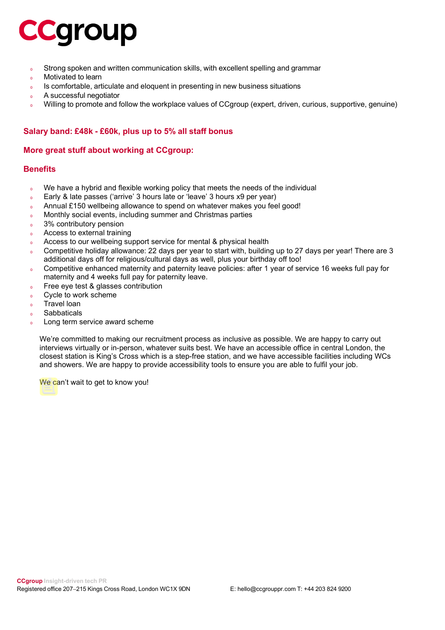## **CCGroup**

- <sup>o</sup> Strong spoken and written communication skills, with excellent spelling and grammar
- <sup>o</sup> Motivated to learn
- <sup>o</sup> Is comfortable, articulate and eloquent in presenting in new business situations
- <sup>o</sup> A successful negotiator
- Willing to promote and follow the workplace values of CCgroup (expert, driven, curious, supportive, genuine)

### **Salary band: £48k - £60k, plus up to 5% all staff bonus**

### **More great stuff about working at CCgroup:**

### **Benefits**

- We have a hybrid and flexible working policy that meets the needs of the individual
- <sup>o</sup> Early & late passes ('arrive' 3 hours late or 'leave' 3 hours x9 per year)
- o Annual £150 wellbeing allowance to spend on whatever makes you feel good!
- <sup>o</sup> Monthly social events, including summer and Christmas parties
- <sup>o</sup> 3% contributory pension
- <sup>o</sup> Access to external training
- <sup>o</sup> Access to our wellbeing support service for mental & physical health
- <sup>o</sup> Competitive holiday allowance: 22 days per year to start with, building up to 27 days per year! There are 3 additional days off for religious/cultural days as well, plus your birthday off too!
- <sup>o</sup> Competitive enhanced maternity and paternity leave policies: after 1 year of service 16 weeks full pay for maternity and 4 weeks full pay for paternity leave.
- <sup>o</sup> Free eye test & glasses contribution
- <sup>o</sup> Cycle to work scheme
- <sup>o</sup> Travel loan
- <sup>o</sup> Sabbaticals
- Long term service award scheme

We're committed to making our recruitment process as inclusive as possible. We are happy to carry out interviews virtually or in-person, whatever suits best. We have an accessible office in central London, the closest station is King's Cross which is a step-free station, and we have accessible facilities including WCs and showers. We are happy to provide accessibility tools to ensure you are able to fulfil your job.

We can't wait to get to know you!